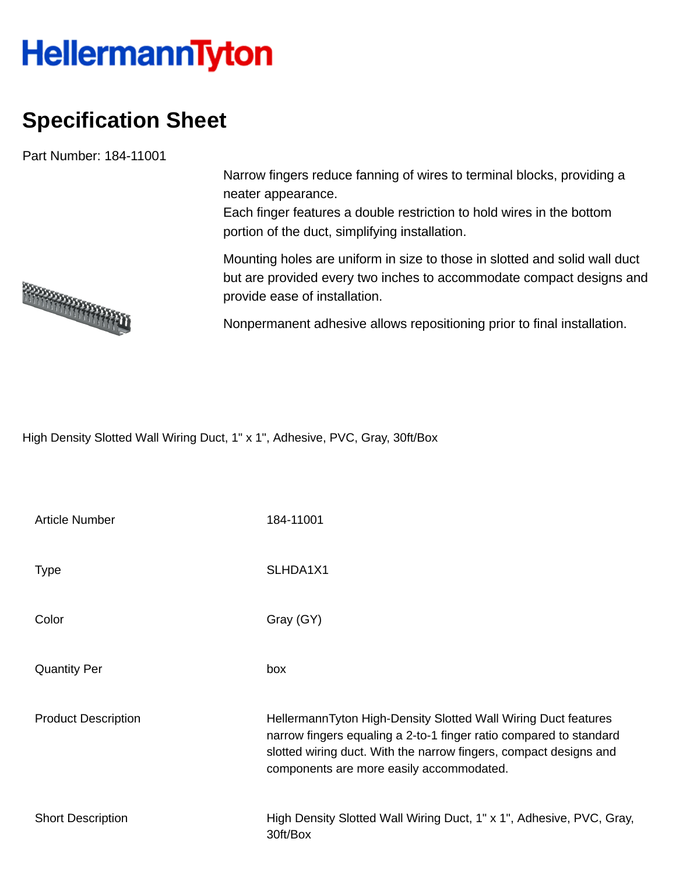## **HellermannTyton**

## **Specification Sheet**

Part Number: 184-11001

Narrow fingers reduce fanning of wires to terminal blocks, providing a neater appearance.

Each finger features a double restriction to hold wires in the bottom portion of the duct, simplifying installation.

Mounting holes are uniform in size to those in slotted and solid wall duct but are provided every two inches to accommodate compact designs and provide ease of installation.

Nonpermanent adhesive allows repositioning prior to final installation.

High Density Slotted Wall Wiring Duct, 1" x 1", Adhesive, PVC, Gray, 30ft/Box

| <b>Article Number</b>      | 184-11001                                                                                                                                                                                                                                             |
|----------------------------|-------------------------------------------------------------------------------------------------------------------------------------------------------------------------------------------------------------------------------------------------------|
| <b>Type</b>                | SLHDA1X1                                                                                                                                                                                                                                              |
| Color                      | Gray (GY)                                                                                                                                                                                                                                             |
| <b>Quantity Per</b>        | box                                                                                                                                                                                                                                                   |
| <b>Product Description</b> | HellermannTyton High-Density Slotted Wall Wiring Duct features<br>narrow fingers equaling a 2-to-1 finger ratio compared to standard<br>slotted wiring duct. With the narrow fingers, compact designs and<br>components are more easily accommodated. |
| <b>Short Description</b>   | High Density Slotted Wall Wiring Duct, 1" x 1", Adhesive, PVC, Gray,<br>30ft/Box                                                                                                                                                                      |

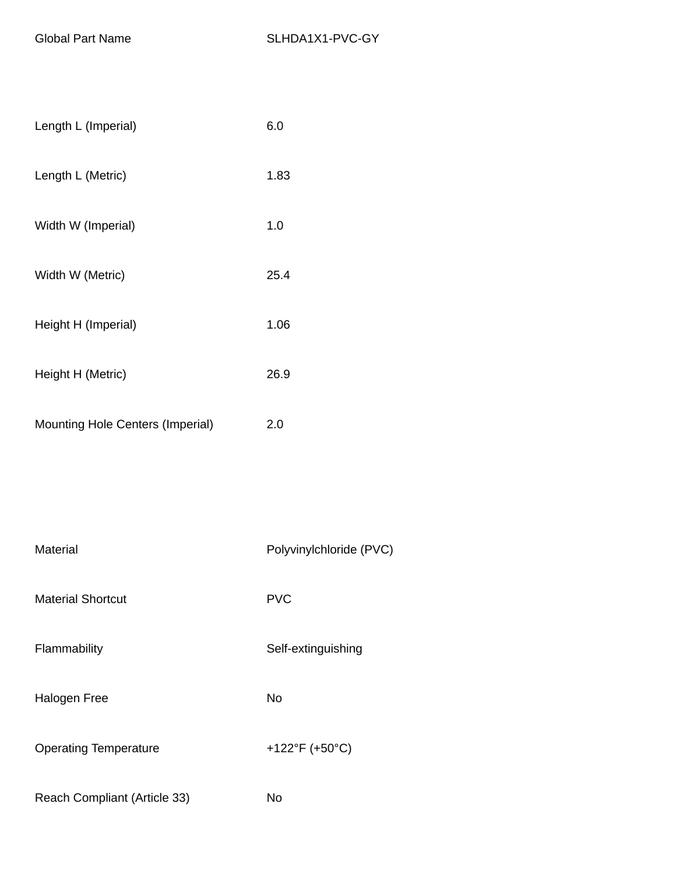| Length L (Imperial)                     | 6.0  |
|-----------------------------------------|------|
| Length L (Metric)                       | 1.83 |
| Width W (Imperial)                      | 1.0  |
| Width W (Metric)                        | 25.4 |
| Height H (Imperial)                     | 1.06 |
| Height H (Metric)                       | 26.9 |
| <b>Mounting Hole Centers (Imperial)</b> | 2.0  |

| Material                     | Polyvinylchloride (PVC) |
|------------------------------|-------------------------|
| <b>Material Shortcut</b>     | <b>PVC</b>              |
| Flammability                 | Self-extinguishing      |
| Halogen Free                 | No                      |
| <b>Operating Temperature</b> | +122°F (+50°C)          |
| Reach Compliant (Article 33) | No                      |